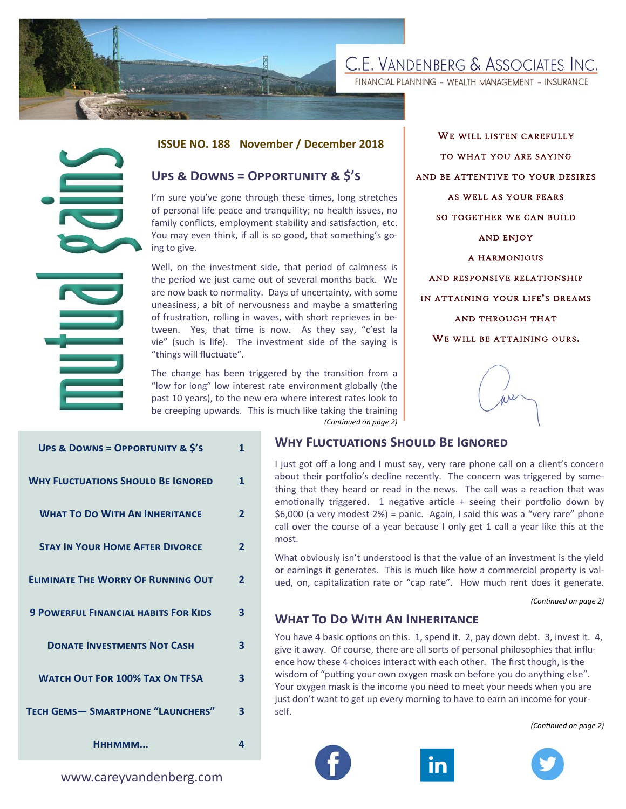

FINANCIAL PLANNING - WEALTH MANAGEMENT - INSURANCE



#### **ISSUE NO. 188 November / December 2018**

## **UPS & DOWNS = OPPORTUNITY & \$'S**

WE WILL LISTEN CAREFULLY TO WHAT YOU ARE SAYING AND BE ATTENTIVE TO YOUR DESIRES AS WELL AS YOUR FEARS SO TOGETHER WE CAN BUILD AND ENJOY A HARMONIOUS AND RESPONSIVE RELATIONSHIP IN ATTAINING YOUR LIFE'S DREAMS AND THROUGH THAT WE WILL BE ATTAINING OURS.



|                                             |                                                                                                                                                                                                                                                                                                                                                                                                                                                                 |                         | <b>ISSUE NO. 188 November / December 2018</b>                                                                                       |
|---------------------------------------------|-----------------------------------------------------------------------------------------------------------------------------------------------------------------------------------------------------------------------------------------------------------------------------------------------------------------------------------------------------------------------------------------------------------------------------------------------------------------|-------------------------|-------------------------------------------------------------------------------------------------------------------------------------|
|                                             | UPS & DOWNS = OPPORTUNITY & \$'S                                                                                                                                                                                                                                                                                                                                                                                                                                |                         |                                                                                                                                     |
|                                             | I'm sure you've gone through these times, long stretches<br>of personal life peace and tranquility; no health issues, no<br>family conflicts, employment stability and satisfaction, etc.<br>You may even think, if all is so good, that something's go-<br>ing to give.                                                                                                                                                                                        |                         |                                                                                                                                     |
|                                             | Well, on the investment side, that period of calmness is<br>the period we just came out of several months back. We<br>are now back to normality. Days of uncertainty, with some<br>uneasiness, a bit of nervousness and maybe a smattering<br>of frustration, rolling in waves, with short reprieves in be-<br>Yes, that time is now. As they say, "c'est la<br>tween.<br>vie" (such is life). The investment side of the saying is<br>"things will fluctuate". |                         |                                                                                                                                     |
|                                             | The change has been triggered by the transition from a<br>"low for long" low interest rate environment globally (the<br>past 10 years), to the new era where interest rates look to<br>be creeping upwards. This is much like taking the training<br>(Continued on page 2)                                                                                                                                                                                      |                         |                                                                                                                                     |
| UPS & DOWNS = OPPORTUNITY & \$'S            |                                                                                                                                                                                                                                                                                                                                                                                                                                                                 | $\mathbf{1}$            | <b>WHY FLUCTUATIONS SH</b>                                                                                                          |
| <b>WHY FLUCTUATIONS SHOULD BE IGNORED</b>   |                                                                                                                                                                                                                                                                                                                                                                                                                                                                 | $\mathbf{1}$            | I just got off a long and I mus<br>about their portfolio's decline<br>thing that they heard or read<br>emotionally triggered. 1 neg |
| <b>WHAT TO DO WITH AN INHERITANCE</b>       |                                                                                                                                                                                                                                                                                                                                                                                                                                                                 | $\overline{2}$          | \$6,000 (a very modest $2\%$ ) = p<br>call over the course of a year<br>most.                                                       |
| <b>STAY IN YOUR HOME AFTER DIVORCE</b>      |                                                                                                                                                                                                                                                                                                                                                                                                                                                                 | $\overline{2}$          | What obviously isn't understo                                                                                                       |
| <b>ELIMINATE THE WORRY OF RUNNING OUT</b>   |                                                                                                                                                                                                                                                                                                                                                                                                                                                                 |                         | or earnings it generates. This<br>ued, on, capitalization rate or                                                                   |
| <b>9 POWERFUL FINANCIAL HABITS FOR KIDS</b> |                                                                                                                                                                                                                                                                                                                                                                                                                                                                 | $\overline{\mathbf{3}}$ | <b>WHAT TO DO WITH AN</b>                                                                                                           |
| <b>DONATE INVESTMENTS NOT CASH</b>          |                                                                                                                                                                                                                                                                                                                                                                                                                                                                 | 3                       | You have 4 basic options on th<br>give it away. Of course, there<br>ence how these 4 choices inter                                  |
| <b>WATCH OUT FOR 100% TAX ON TFSA</b>       |                                                                                                                                                                                                                                                                                                                                                                                                                                                                 | 3                       | wisdom of "putting your own o<br>Your oxygen mask is the incom                                                                      |
| <b>TECH GEMS-SMARTPHONE "LAUNCHERS"</b>     |                                                                                                                                                                                                                                                                                                                                                                                                                                                                 | $\overline{\mathbf{3}}$ | just don't want to get up every<br>self.                                                                                            |
| Нннммм                                      |                                                                                                                                                                                                                                                                                                                                                                                                                                                                 | $\overline{4}$          |                                                                                                                                     |
| www.careyvandenberg.com                     |                                                                                                                                                                                                                                                                                                                                                                                                                                                                 |                         |                                                                                                                                     |

#### **WHY FLUCTUATIONS SHOULD BE IGNORED**

I just got off a long and I must say, very rare phone call on a client's concern about their portfolio's decline recently. The concern was triggered by something that they heard or read in the news. The call was a reaction that was emotionally triggered. 1 negative article + seeing their portfolio down by \$6,000 (a very modest 2%) = panic. Again, I said this was a "very rare" phone call over the course of a year because I only get 1 call a year like this at the most.

What obviously isn't understood is that the value of an investment is the yield or earnings it generates. This is much like how a commercial property is valued, on, capitalization rate or "cap rate". How much rent does it generate.

*(ConƟnued on page 2)* 

#### **WHAT TO DO WITH AN INHERITANCE**

You have 4 basic options on this. 1, spend it. 2, pay down debt. 3, invest it. 4, give it away. Of course, there are all sorts of personal philosophies that influence how these 4 choices interact with each other. The first though, is the wisdom of "putting your own oxygen mask on before you do anything else". Your oxygen mask is the income you need to meet your needs when you are just don't want to get up every morning to have to earn an income for yourself.

*(ConƟnued on page 2)* 





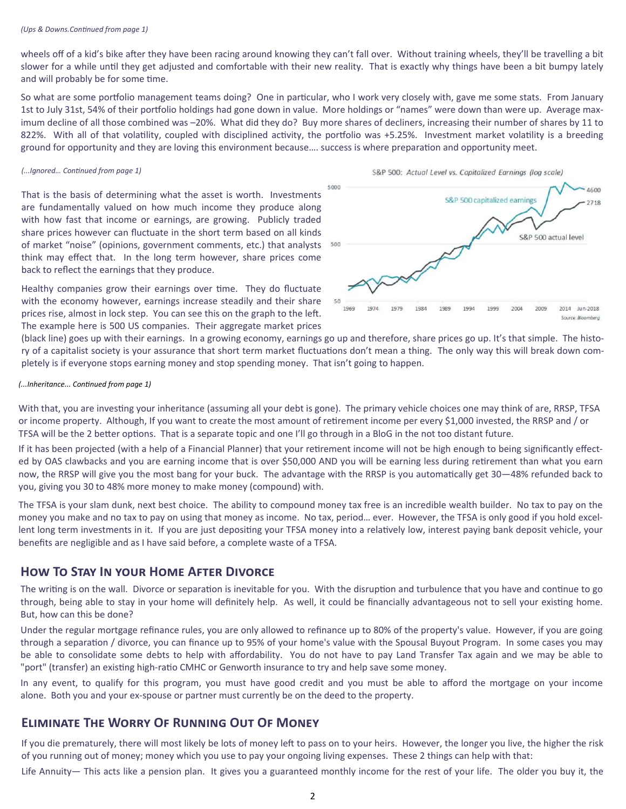#### *(Ups & Downs.ConƟnued from page 1)*

wheels off of a kid's bike after they have been racing around knowing they can't fall over. Without training wheels, they'll be travelling a bit slower for a while until they get adjusted and comfortable with their new reality. That is exactly why things have been a bit bumpy lately and will probably be for some time.

So what are some portfolio management teams doing? One in particular, who I work very closely with, gave me some stats. From January 1st to July 31st, 54% of their portfolio holdings had gone down in value. More holdings or "names" were down than were up. Average maximum decline of all those combined was –20%. What did they do? Buy more shares of decliners, increasing their number of shares by 11 to 822%. With all of that volatility, coupled with disciplined activity, the portfolio was +5.25%. Investment market volatility is a breeding ground for opportunity and they are loving this environment because.... success is where preparation and opportunity meet.

#### *(...Ignored… ConƟnued from page 1)*

That is the basis of determining what the asset is worth. Investments are fundamentally valued on how much income they produce along with how fast that income or earnings, are growing. Publicly traded share prices however can fluctuate in the short term based on all kinds of market "noise" (opinions, government comments, etc.) that analysts think may effect that. In the long term however, share prices come back to reflect the earnings that they produce.

Healthy companies grow their earnings over time. They do fluctuate with the economy however, earnings increase steadily and their share prices rise, almost in lock step. You can see this on the graph to the left. The example here is 500 US companies. Their aggregate market prices



(black line) goes up with their earnings. In a growing economy, earnings go up and therefore, share prices go up. It's that simple. The history of a capitalist society is your assurance that short term market fluctuations don't mean a thing. The only way this will break down completely is if everyone stops earning money and stop spending money. That isn't going to happen.

#### *(...Inheritance... ConƟnued from page 1)*

With that, you are investing your inheritance (assuming all your debt is gone). The primary vehicle choices one may think of are, RRSP, TFSA or income property. Although, If you want to create the most amount of retirement income per every \$1,000 invested, the RRSP and / or TFSA will be the 2 better options. That is a separate topic and one I'll go through in a BloG in the not too distant future.

If it has been projected (with a help of a Financial Planner) that your retirement income will not be high enough to being significantly effected by OAS clawbacks and you are earning income that is over \$50,000 AND you will be earning less during retirement than what you earn now, the RRSP will give you the most bang for your buck. The advantage with the RRSP is you automatically get 30—48% refunded back to you, giving you 30 to 48% more money to make money (compound) with.

The TFSA is your slam dunk, next best choice. The ability to compound money tax free is an incredible wealth builder. No tax to pay on the money you make and no tax to pay on using that money as income. No tax, period… ever. However, the TFSA is only good if you hold excellent long term investments in it. If you are just depositing your TFSA money into a relatively low, interest paying bank deposit vehicle, your benefits are negligible and as I have said before, a complete waste of a TFSA.

## **HOW TO STAY IN YOUR HOME AFTER DIVORCE**

The writing is on the wall. Divorce or separation is inevitable for you. With the disruption and turbulence that you have and continue to go through, being able to stay in your home will definitely help. As well, it could be financially advantageous not to sell your existing home. But, how can this be done?

Under the regular mortgage refinance rules, you are only allowed to refinance up to 80% of the property's value. However, if you are going through a separation / divorce, you can finance up to 95% of your home's value with the Spousal Buyout Program. In some cases you may be able to consolidate some debts to help with affordability. You do not have to pay Land Transfer Tax again and we may be able to "port" (transfer) an existing high-ratio CMHC or Genworth insurance to try and help save some money.

In any event, to qualify for this program, you must have good credit and you must be able to afford the mortgage on your income alone. Both you and your ex-spouse or partner must currently be on the deed to the property.

## **ELIMINATE THE WORRY OF RUNNING OUT OF MONEY**

If you die prematurely, there will most likely be lots of money left to pass on to your heirs. However, the longer you live, the higher the risk of you running out of money; money which you use to pay your ongoing living expenses. These 2 things can help with that:

Life Annuity— This acts like a pension plan. It gives you a guaranteed monthly income for the rest of your life. The older you buy it, the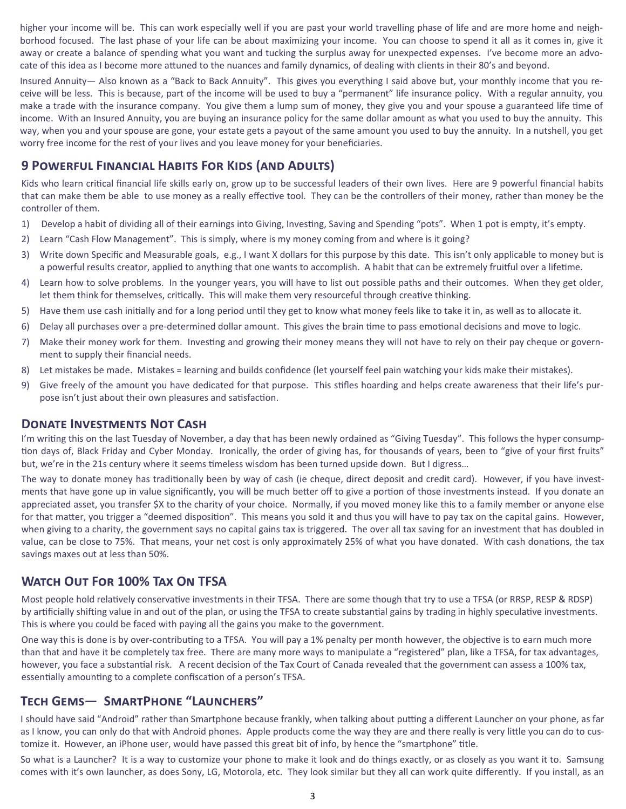higher your income will be. This can work especially well if you are past your world travelling phase of life and are more home and neighborhood focused. The last phase of your life can be about maximizing your income. You can choose to spend it all as it comes in, give it away or create a balance of spending what you want and tucking the surplus away for unexpected expenses. I've become more an advocate of this idea as I become more attuned to the nuances and family dynamics, of dealing with clients in their 80's and beyond.

Insured Annuity— Also known as a "Back to Back Annuity". This gives you everything I said above but, your monthly income that you receive will be less. This is because, part of the income will be used to buy a "permanent" life insurance policy. With a regular annuity, you make a trade with the insurance company. You give them a lump sum of money, they give you and your spouse a guaranteed life time of income. With an Insured Annuity, you are buying an insurance policy for the same dollar amount as what you used to buy the annuity. This way, when you and your spouse are gone, your estate gets a payout of the same amount you used to buy the annuity. In a nutshell, you get worry free income for the rest of your lives and you leave money for your beneficiaries.

## **9 POWERFUL FINANCIAL HABITS FOR KIDS (AND ADULTS)**

Kids who learn critical financial life skills early on, grow up to be successful leaders of their own lives. Here are 9 powerful financial habits that can make them be able to use money as a really effective tool. They can be the controllers of their money, rather than money be the controller of them.

- Develop a habit of dividing all of their earnings into Giving, Investing, Saving and Spending "pots". When 1 pot is empty, it's empty.  $1)$
- $2)$ Learn "Cash Flow Management". This is simply, where is my money coming from and where is it going?
- Write down Specific and Measurable goals, e.g., I want X dollars for this purpose by this date. This isn't only applicable to money but is  $3)$ a powerful results creator, applied to anything that one wants to accomplish. A habit that can be extremely fruitful over a lifetime.
- Learn how to solve problems. In the younger years, you will have to list out possible paths and their outcomes. When they get older, 4) let them think for themselves, critically. This will make them very resourceful through creative thinking.
- 5) Have them use cash initially and for a long period until they get to know what money feels like to take it in, as well as to allocate it.
- 6) Delay all purchases over a pre-determined dollar amount. This gives the brain time to pass emotional decisions and move to logic.
- Make their money work for them. Investing and growing their money means they will not have to rely on their pay cheque or govern-7) ment to supply their financial needs.
- Let mistakes be made. Mistakes = learning and builds confidence (let yourself feel pain watching your kids make their mistakes).  $\mathsf{R}$
- 9) Give freely of the amount you have dedicated for that purpose. This stifles hoarding and helps create awareness that their life's purpose isn't just about their own pleasures and satisfaction.

## **DONATE INVESTMENTS NOT CASH**

I'm writing this on the last Tuesday of November, a day that has been newly ordained as "Giving Tuesday". This follows the hyper consumption days of, Black Friday and Cyber Monday. Ironically, the order of giving has, for thousands of years, been to "give of your first fruits" but, we're in the 21s century where it seems timeless wisdom has been turned upside down. But I digress...

The way to donate money has traditionally been by way of cash (ie cheque, direct deposit and credit card). However, if you have investments that have gone up in value significantly, you will be much better off to give a portion of those investments instead. If you donate an appreciated asset, you transfer \$X to the charity of your choice. Normally, if you moved money like this to a family member or anyone else for that matter, you trigger a "deemed disposition". This means you sold it and thus you will have to pay tax on the capital gains. However, when giving to a charity, the government says no capital gains tax is triggered. The over all tax saving for an investment that has doubled in value, can be close to 75%. That means, your net cost is only approximately 25% of what you have donated. With cash donations, the tax savings maxes out at less than 50%.

# **WATCH OUT FOR 100% TAX ON TFSA**

Most people hold relatively conservative investments in their TFSA. There are some though that try to use a TFSA (or RRSP, RESP & RDSP) by artificially shifting value in and out of the plan, or using the TFSA to create substantial gains by trading in highly speculative investments. This is where you could be faced with paying all the gains you make to the government.

One way this is done is by over-contributing to a TFSA. You will pay a 1% penalty per month however, the objective is to earn much more than that and have it be completely tax free. There are many more ways to manipulate a "registered" plan, like a TFSA, for tax advantages, however, you face a substantial risk. A recent decision of the Tax Court of Canada revealed that the government can assess a 100% tax, essentially amounting to a complete confiscation of a person's TFSA.

# TECH GEMS- SMARTPHONE "LAUNCHERS"

I should have said "Android" rather than Smartphone because frankly, when talking about putting a different Launcher on your phone, as far as I know, you can only do that with Android phones. Apple products come the way they are and there really is very little you can do to customize it. However, an iPhone user, would have passed this great bit of info, by hence the "smartphone" title.

So what is a Launcher? It is a way to customize your phone to make it look and do things exactly, or as closely as you want it to. Samsung comes with it's own launcher, as does Sony, LG, Motorola, etc. They look similar but they all can work quite differently. If you install, as an